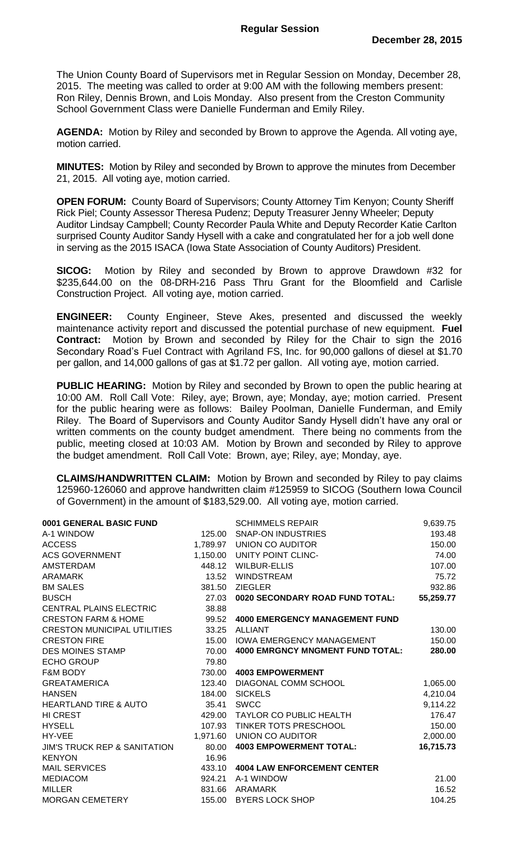The Union County Board of Supervisors met in Regular Session on Monday, December 28, 2015. The meeting was called to order at 9:00 AM with the following members present: Ron Riley, Dennis Brown, and Lois Monday. Also present from the Creston Community School Government Class were Danielle Funderman and Emily Riley.

**AGENDA:** Motion by Riley and seconded by Brown to approve the Agenda. All voting aye, motion carried.

**MINUTES:** Motion by Riley and seconded by Brown to approve the minutes from December 21, 2015. All voting aye, motion carried.

**OPEN FORUM:** County Board of Supervisors; County Attorney Tim Kenyon; County Sheriff Rick Piel; County Assessor Theresa Pudenz; Deputy Treasurer Jenny Wheeler; Deputy Auditor Lindsay Campbell; County Recorder Paula White and Deputy Recorder Katie Carlton surprised County Auditor Sandy Hysell with a cake and congratulated her for a job well done in serving as the 2015 ISACA (Iowa State Association of County Auditors) President.

**SICOG:** Motion by Riley and seconded by Brown to approve Drawdown #32 for \$235,644.00 on the 08-DRH-216 Pass Thru Grant for the Bloomfield and Carlisle Construction Project. All voting aye, motion carried.

**ENGINEER:** County Engineer, Steve Akes, presented and discussed the weekly maintenance activity report and discussed the potential purchase of new equipment. **Fuel Contract:** Motion by Brown and seconded by Riley for the Chair to sign the 2016 Secondary Road's Fuel Contract with Agriland FS, Inc. for 90,000 gallons of diesel at \$1.70 per gallon, and 14,000 gallons of gas at \$1.72 per gallon. All voting aye, motion carried.

**PUBLIC HEARING:** Motion by Riley and seconded by Brown to open the public hearing at 10:00 AM. Roll Call Vote: Riley, aye; Brown, aye; Monday, aye; motion carried. Present for the public hearing were as follows: Bailey Poolman, Danielle Funderman, and Emily Riley. The Board of Supervisors and County Auditor Sandy Hysell didn't have any oral or written comments on the county budget amendment. There being no comments from the public, meeting closed at 10:03 AM. Motion by Brown and seconded by Riley to approve the budget amendment. Roll Call Vote: Brown, aye; Riley, aye; Monday, aye.

**CLAIMS/HANDWRITTEN CLAIM:** Motion by Brown and seconded by Riley to pay claims 125960-126060 and approve handwritten claim #125959 to SICOG (Southern Iowa Council of Government) in the amount of \$183,529.00. All voting aye, motion carried.

| 0001 GENERAL BASIC FUND                 |          | <b>SCHIMMELS REPAIR</b>                 | 9,639.75  |
|-----------------------------------------|----------|-----------------------------------------|-----------|
| A-1 WINDOW                              | 125.00   | <b>SNAP-ON INDUSTRIES</b>               | 193.48    |
| <b>ACCESS</b>                           |          | 1,789.97 UNION CO AUDITOR               | 150.00    |
| <b>ACS GOVERNMENT</b>                   |          | 1,150.00 UNITY POINT CLINC-             | 74.00     |
| <b>AMSTERDAM</b>                        | 448.12   | <b>WILBUR-ELLIS</b>                     | 107.00    |
| ARAMARK                                 | 13.52    | <b>WINDSTREAM</b>                       | 75.72     |
| <b>BM SALES</b>                         | 381.50   | <b>ZIEGLER</b>                          | 932.86    |
| <b>BUSCH</b>                            | 27.03    | 0020 SECONDARY ROAD FUND TOTAL:         | 55,259.77 |
| CENTRAL PLAINS ELECTRIC                 | 38.88    |                                         |           |
| <b>CRESTON FARM &amp; HOME</b>          | 99.52    | <b>4000 EMERGENCY MANAGEMENT FUND</b>   |           |
| <b>CRESTON MUNICIPAL UTILITIES</b>      | 33.25    | <b>ALLIANT</b>                          | 130.00    |
| <b>CRESTON FIRE</b>                     | 15.00    | IOWA EMERGENCY MANAGEMENT               | 150.00    |
| <b>DES MOINES STAMP</b>                 | 70.00    | <b>4000 EMRGNCY MNGMENT FUND TOTAL:</b> | 280.00    |
| <b>ECHO GROUP</b>                       | 79.80    |                                         |           |
| <b>F&amp;M BODY</b>                     | 730.00   | <b>4003 EMPOWERMENT</b>                 |           |
| <b>GREATAMERICA</b>                     | 123.40   | DIAGONAL COMM SCHOOL                    | 1,065.00  |
| <b>HANSEN</b>                           | 184.00   | <b>SICKELS</b>                          | 4,210.04  |
| <b>HEARTLAND TIRE &amp; AUTO</b>        | 35.41    | <b>SWCC</b>                             | 9,114.22  |
| <b>HI CREST</b>                         | 429.00   | TAYLOR CO PUBLIC HEALTH                 | 176.47    |
| <b>HYSELL</b>                           |          | 107.93 TINKER TOTS PRESCHOOL            | 150.00    |
| HY-VEE                                  | 1,971.60 | <b>UNION CO AUDITOR</b>                 | 2,000.00  |
| <b>JIM'S TRUCK REP &amp; SANITATION</b> | 80.00    | <b>4003 EMPOWERMENT TOTAL:</b>          | 16,715.73 |
| <b>KENYON</b>                           | 16.96    |                                         |           |
| <b>MAIL SERVICES</b>                    | 433.10   | <b>4004 LAW ENFORCEMENT CENTER</b>      |           |
| <b>MEDIACOM</b>                         | 924.21   | A-1 WINDOW                              | 21.00     |
| <b>MILLER</b>                           | 831.66   | ARAMARK                                 | 16.52     |
| <b>MORGAN CEMETERY</b>                  | 155.00   | <b>BYERS LOCK SHOP</b>                  | 104.25    |